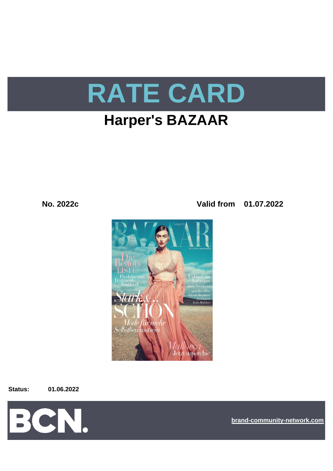

# **Harper's BAZAAR**

**No. 2022c Valid from 01.07.2022**



**Status: 01.06.2022**



**[bra](https://bcn.burda.com/)nd-community-network.com**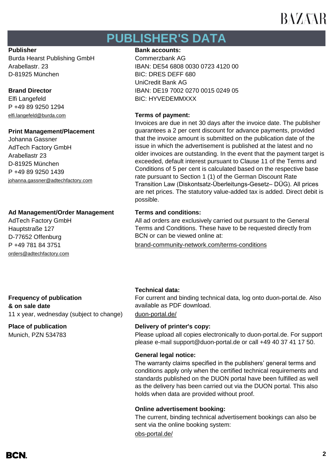## **PUBLISHER'S DATA**

Burda Hearst Publishing GmbH Commerzbank AG D-81925 München BIC: DRES DEFF 680

P +49 89 9250 1294 [elfi.langefeld@burda.com](mailto:elfi.langefeld@burda.com) **Terms of payment:**

## **Print Management/Placement**

Johanna Gassner AdTech Factory GmbH Arabellastr 23 D-81925 München P +49 89 9250 1439 [johanna.gassner@adtechfactory.com](mailto:johanna.gassner@adtechfactory.com)

## **Ad Management/Order Management Terms and conditions:**

AdTech Factory GmbH Hauptstraße 127 D-77652 Offenburg [orders@adtechfactory.com](mailto:orders@adtechfactory.com)

### **Publisher Bank accounts: Bank accounts:**

Arabellastr. 23 IBAN: DE54 6808 0030 0723 4120 00 UniCredit Bank AG **Brand Director IBAN: DE19 7002 0270 0015 0249 05** Elfi Langefeld BIC: HYVEDEMMXXX

Invoices are due in net 30 days after the invoice date. The publisher guarantees a 2 per cent discount for advance payments, provided that the invoice amount is submitted on the publication date of the issue in which the advertisement is published at the latest and no older invoices are outstanding. In the event that the payment target is exceeded, default interest pursuant to Clause 11 of the Terms and Conditions of 5 per cent is calculated based on the respective base rate pursuant to Section 1 (1) of the German Discount Rate Transition Law (Diskontsatz-Überleitungs-Gesetz– DÜG). All prices are net prices. The statutory value-added tax is added. Direct debit is possible.

All ad orders are exclusively carried out pursuant to the General Terms and Conditions. These have to be requested directly from BCN or can be viewed online at:

P +49 781 84 3751 [brand-community-network.com/terms-conditions](https://bcn.burda.com/terms-conditions)

**Frequency of publication & on sale date** 11 x year, wednesday (subject to change) [duon-portal.de/](https://duon-portal.de/)

Munich, PZN 534783

## **Technical data:**

For current and binding technical data, log onto duon-portal.de. Also available as PDF download.

### **Place of publication Delivery of printer's copy:**

Please upload all copies electronically to duon-portal.de. For support please e-mail support@duon-portal.de or call +49 40 37 41 17 50.

### **General legal notice:**

The warranty claims specified in the publishers' general terms and conditions apply only when the certified technical requirements and standards published on the DUON portal have been fulfilled as well as the delivery has been carried out via the DUON portal. This also holds when data are provided without proof.

### **Online advertisement booking:**

The current, binding technical advertisement bookings can also be sent via the online booking system:

[obs-portal.de/](https://www.obs-portal.de/)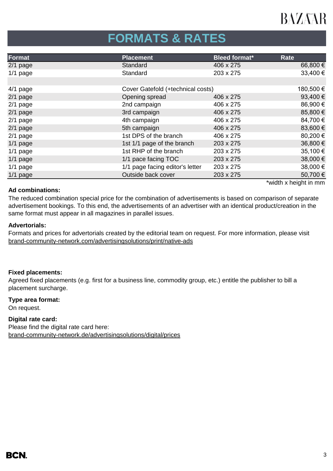# **FORMATS & RATES**

| Format     | <b>Placement</b>                  | <b>Bleed format*</b> | <b>Rate</b> |
|------------|-----------------------------------|----------------------|-------------|
| $2/1$ page | Standard                          | 406 x 275            | 66,800 €    |
| $1/1$ page | Standard                          | 203 x 275            | 33,400 €    |
|            |                                   |                      |             |
| $4/1$ page | Cover Gatefold (+technical costs) |                      | 180,500 €   |
| 2/1 page   | Opening spread                    | 406 x 275            | 93,400€     |
| $2/1$ page | 2nd campaign                      | 406 x 275            | 86,900€     |
| $2/1$ page | 3rd campaign                      | 406 x 275            | 85,800 €    |
| $2/1$ page | 4th campaign                      | 406 x 275            | 84,700 €    |
| 2/1 page   | 5th campaign                      | 406 x 275            | 83,600€     |
| $2/1$ page | 1st DPS of the branch             | 406 x 275            | 80,200€     |
| $1/1$ page | 1st 1/1 page of the branch        | 203 x 275            | 36,800 €    |
| $1/1$ page | 1st RHP of the branch             | 203 x 275            | 35,100€     |
| $1/1$ page | 1/1 pace facing TOC               | 203 x 275            | 38,000 €    |
| $1/1$ page | 1/1 page facing editor's letter   | 203 x 275            | 38,000 €    |
| $1/1$ page | Outside back cover                | 203 x 275            | 50,700 €    |
|            |                                   |                      |             |

## **Ad combinations:**

\*width x height in mm

The reduced combination special price for the combination of advertisements is based on comparison of separate advertisement bookings. To this end, the advertisements of an advertiser with an identical product/creation in the same format must appear in all magazines in parallel issues.

## **Advertorials:**

[brand-community-network.com/advertisin](https://bcn.burda.com/advertisingsolutions/print/native-ads)gsolutions/print/native-ads Formats and prices for advertorials created by the editorial team on request. For more information, please visit

## **Fixed placements:**

Agreed fixed placements (e.g. first for a business line, commodity group, etc.) entitle the publisher to bill a placement surcharge.

## **Type area format:**

On request.

## **Digital rate card:**

Please find the digital rate card here: [brand-community-network.de/advertisingsolutions/digital/prices](https://bcn.burda.com/advertisingsolutions/digital/prices)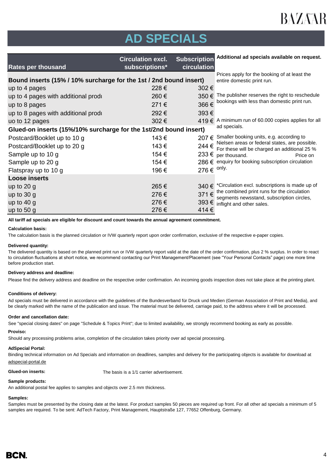

# **AD SPECIALS**

| <b>Rates per thousand</b>                                          | <b>Circulation excl.</b><br>subscriptions*                                 | <b>Subscription</b><br>circulation | Additional ad specials available on request.                                                   |
|--------------------------------------------------------------------|----------------------------------------------------------------------------|------------------------------------|------------------------------------------------------------------------------------------------|
| Bound inserts (15% / 10% surcharge for the 1st / 2nd bound insert) | Prices apply for the booking of at least the<br>entire domestic print run. |                                    |                                                                                                |
| up to 4 pages                                                      | 228€                                                                       | 302€                               |                                                                                                |
| up to 4 pages with additional produ                                | 260€                                                                       | 350€                               | The publisher reserves the right to reschedule                                                 |
| up to 8 pages                                                      | 271€                                                                       | 366€                               | bookings with less than domestic print run.                                                    |
| up to 8 pages with additional produ                                | 292€                                                                       | 393€                               |                                                                                                |
| uo to 12 pages                                                     | 302€                                                                       |                                    | 419 € A minimum run of 60.000 copies applies for all                                           |
| Glued-on inserts (15%/10% surcharge for the 1st/2nd bound insert)  | ad specials.                                                               |                                    |                                                                                                |
| Postcard/Booklet up to 10 g                                        | 143€                                                                       |                                    | 207 € Smaller booking units, e.g. according to                                                 |
| Postcard/Booklet up to 20 g                                        | 143€                                                                       | 244€                               | Nielsen areas or federal states, are possible.<br>For these will be charged an additional 25 % |
| Sample up to 10 g                                                  | 154 €                                                                      |                                    | 233 € per thousand.<br>Price on                                                                |
| Sample up to 20 g                                                  | 154 €                                                                      |                                    | 286 € enquiry for booking subscription circulation                                             |
| Flatspray up to 10 g                                               | 196€                                                                       | 276 $\varepsilon$ <sup>only.</sup> |                                                                                                |
| <b>Loose inserts</b>                                               |                                                                            |                                    |                                                                                                |
| up to $20$ g                                                       | 265€                                                                       |                                    | 340 $\in$ *Circulation excl. subscriptions is made up of                                       |
| up to $30 g$                                                       | 276€                                                                       | 371€                               | the combined print runs for the circulation<br>segments newsstand, subscription circles,       |
| up to $40 g$                                                       | 276€                                                                       |                                    | 393 $€$ inflight and other sales.                                                              |
| up to $50 g$                                                       | 276€                                                                       | 414€                               |                                                                                                |

**All tariff ad specials are eligible for discount and count towards the annual agreement commitment.**

### **Calculation basis:**

The calculation basis is the planned circulation or IVW quarterly report upon order confirmation, exclusive of the respective e-paper copies.

### **Delivered quantity:**

The delivered quantity is based on the planned print run or IVW quarterly report valid at the date of the order confirmation, plus 2 % surplus. In order to react to circulation fluctuations at short notice, we recommend contacting our Print Management/Placement (see "Your Personal Contacts" page) one more time before production start.

### **Delivery address and deadline:**

Please find the delivery address and deadline on the respective order confirmation. An incoming goods inspection does not take place at the printing plant.

### **Conditions of delivery:**

Ad specials must be delivered in accordance with the guidelines of the Bundesverband für Druck und Medien (German Association of Print and Media), and be clearly marked with the name of the publication and issue. The material must be delivered, carriage paid, to the address where it will be processed.

### **Order and cancellation date:**

See "special closing dates" on page "Schedule & Topics Print"; due to limited availability, we strongly recommend booking as early as possible.

### **Proviso:**

Should any processing problems arise, completion of the circulation takes priority over ad special processing.

### **AdSpecial Portal:**

Binding technical information on Ad Specials and information on deadlines, samples and delivery for the participating objects is available for download at adspecial-portal.de

**Glued-on inserts:** The basis is a 1/1 carrier advertisement.

### **Sample products:**

An additional postal fee applies to samples and objects over 2.5 mm thickness.

### **Samples:**

Samples must be presented by the closing date at the latest. For product samples 50 pieces are required up front. For all other ad specials a minimum of 5 samples are required. To be sent: AdTech Factory, Print Management, Hauptstraße 127, 77652 Offenburg, Germany.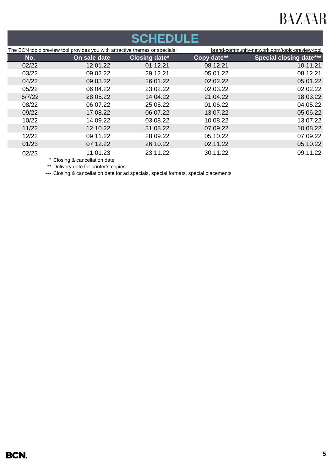## **SCHEDULE**

|        | The BCN topic preview tool provides you with attractive themes or specials: |                      |             | brand-community-network.com/topic-preview-tool |
|--------|-----------------------------------------------------------------------------|----------------------|-------------|------------------------------------------------|
| No.    | On sale date                                                                | <b>Closing date*</b> | Copy date** | <b>Special closing date***</b>                 |
| 02/22  | 12.01.22                                                                    | 01.12.21             | 08.12.21    | 10.11.21                                       |
| 03/22  | 09.02.22                                                                    | 29.12.21             | 05.01.22    | 08.12.21                                       |
| 04/22  | 09.03.22                                                                    | 26.01.22             | 02.02.22    | 05.01.22                                       |
| 05/22  | 06.04.22                                                                    | 23.02.22             | 02.03.22    | 02.02.22                                       |
| 6/7/22 | 28.05.22                                                                    | 14.04.22             | 21.04.22    | 18.03.22                                       |
| 08/22  | 06.07.22                                                                    | 25.05.22             | 01.06.22    | 04.05.22                                       |
| 09/22  | 17.08.22                                                                    | 06.07.22             | 13.07.22    | 05.06.22                                       |
| 10/22  | 14.09.22                                                                    | 03.08.22             | 10.08.22    | 13.07.22                                       |
| 11/22  | 12.10.22                                                                    | 31.08.22             | 07.09.22    | 10.08.22                                       |
| 12/22  | 09.11.22                                                                    | 28.09.22             | 05.10.22    | 07.09.22                                       |
| 01/23  | 07.12.22                                                                    | 26.10.22             | 02.11.22    | 05.10.22                                       |
| 02/23  | 11.01.23                                                                    | 23.11.22             | 30.11.22    | 09.11.22                                       |
|        |                                                                             |                      |             |                                                |

\* Closing & cancellation date

\*\* Delivery date for printer's copies

\*\*\* Closing & cancellation date for ad specials, special formats, special placements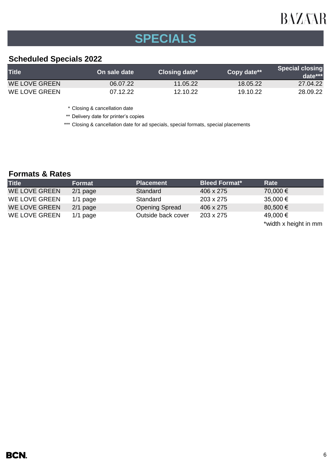# **SPECIALS**

## **Scheduled Specials 2022**

| <b>Title</b>  | On sale date | Closing date* | Copy date** | <b>Special closing</b><br>$data***$ |
|---------------|--------------|---------------|-------------|-------------------------------------|
| WE LOVE GREEN | 06.07.22     | 11.05.22      | 18.05.22    | 27.04.22                            |
| WE LOVE GREEN | 07.12.22     | 12.10.22      | 19.10.22    | 28.09.22                            |

\* Closing & cancellation date

\*\* Delivery date for printer's copies

\*\*\* Closing & cancellation date for ad specials, special formats, special placements

## **Formats & Rates**

| <b>Title</b>         | <b>Format</b> | <b>Placement</b>      | <b>Bleed Format*</b> | Rate                  |
|----------------------|---------------|-----------------------|----------------------|-----------------------|
| <b>WE LOVE GREEN</b> | $2/1$ page    | Standard              | 406 x 275            | 70,000 €              |
| WE LOVE GREEN        | $1/1$ page    | Standard              | 203 x 275            | 35,000 €              |
| <b>WE LOVE GREEN</b> | $2/1$ page    | <b>Opening Spread</b> | 406 x 275            | 80,500 €              |
| WE LOVE GREEN        | $1/1$ page    | Outside back cover    | 203 x 275            | 49,000 €              |
|                      |               |                       |                      | *width x height in mm |